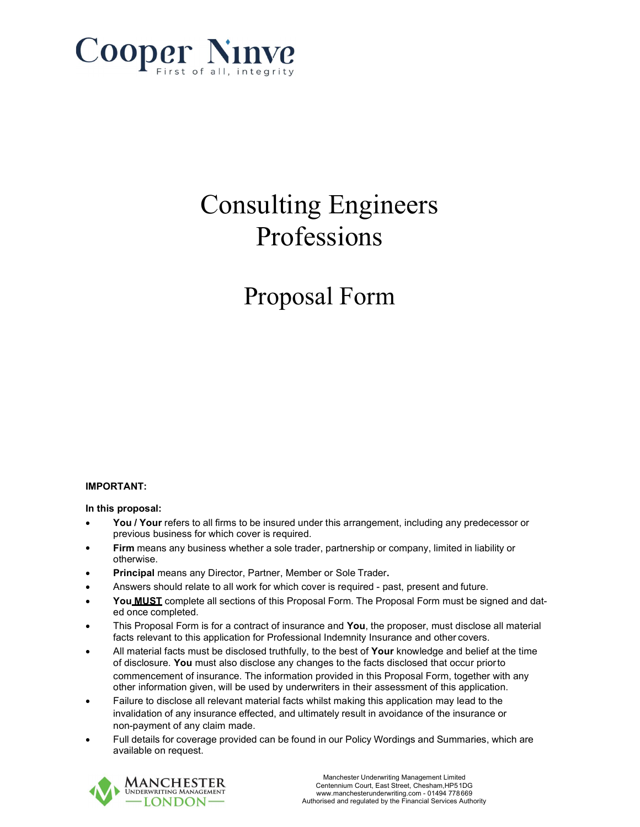

# Consulting Engineers Professions

# Proposal Form

## IMPORTANT:

#### In this proposal:

- You / Your refers to all firms to be insured under this arrangement, including any predecessor or previous business for which cover is required.
- Firm means any business whether a sole trader, partnership or company, limited in liability or otherwise.
- Principal means any Director, Partner, Member or Sole Trader.
- Answers should relate to all work for which cover is required past, present and future.
- You **MUST** complete all sections of this Proposal Form. The Proposal Form must be signed and dated once completed.
- This Proposal Form is for a contract of insurance and You, the proposer, must disclose all material facts relevant to this application for Professional Indemnity Insurance and other covers.
- All material facts must be disclosed truthfully, to the best of Your knowledge and belief at the time of disclosure. You must also disclose any changes to the facts disclosed that occur prior to commencement of insurance. The information provided in this Proposal Form, together with any other information given, will be used by underwriters in their assessment of this application.
- Failure to disclose all relevant material facts whilst making this application may lead to the invalidation of any insurance effected, and ultimately result in avoidance of the insurance or non-payment of any claim made.
- Full details for coverage provided can be found in our Policy Wordings and Summaries, which are available on request.

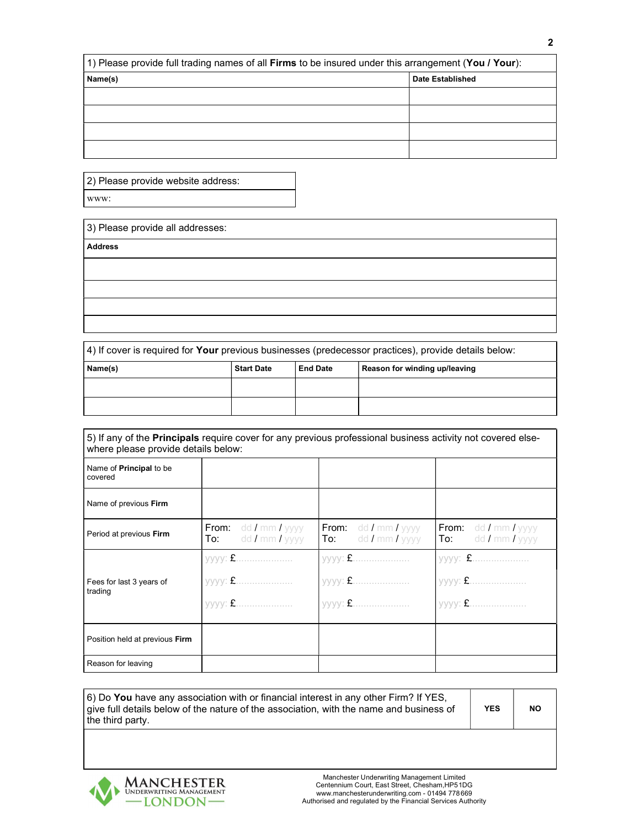| (1) Please provide full trading names of all Firms to be insured under this arrangement (You / Your): |                         |  |  |  |  |
|-------------------------------------------------------------------------------------------------------|-------------------------|--|--|--|--|
| Name(s)                                                                                               | <b>Date Established</b> |  |  |  |  |
|                                                                                                       |                         |  |  |  |  |
|                                                                                                       |                         |  |  |  |  |
|                                                                                                       |                         |  |  |  |  |
|                                                                                                       |                         |  |  |  |  |

| 2) Please provide website address: |
|------------------------------------|
|------------------------------------|

www:

| 3) Please provide all addresses:                                                                                        |  |
|-------------------------------------------------------------------------------------------------------------------------|--|
| <b>Address</b>                                                                                                          |  |
|                                                                                                                         |  |
|                                                                                                                         |  |
|                                                                                                                         |  |
|                                                                                                                         |  |
| $\vert A \rangle$ if cover is required for <b>Vour</b> provious businesses (prodesses prostices) provide details below: |  |

| 14) il covei is regulieu ior <b>Tour</b> previous busiriesses (preuecessor practices), proviue details below. |                   |                 |                               |  |  |
|---------------------------------------------------------------------------------------------------------------|-------------------|-----------------|-------------------------------|--|--|
| Name(s)                                                                                                       | <b>Start Date</b> | <b>End Date</b> | Reason for winding up/leaving |  |  |
|                                                                                                               |                   |                 |                               |  |  |
|                                                                                                               |                   |                 |                               |  |  |

| where please provide details below:       | 5) If any of the <b>Principals</b> require cover for any previous professional business activity not covered else- |                                                                                  |                                                        |  |
|-------------------------------------------|--------------------------------------------------------------------------------------------------------------------|----------------------------------------------------------------------------------|--------------------------------------------------------|--|
| Name of <b>Principal</b> to be<br>covered |                                                                                                                    |                                                                                  |                                                        |  |
| Name of previous Firm                     |                                                                                                                    |                                                                                  |                                                        |  |
| Period at previous Firm                   | <b>From:</b> $dd / mm / yyy$<br>dd / mm / yyyy<br>To:                                                              | <b>From:</b> $\frac{d}{dx}$ dd <b>/</b> mm <b>/</b> yyyy<br>$To:$ dd / mm / yyyy | <b>From:</b> $dd / mm / yyyy$<br>dd / mm / yyyy<br>To: |  |
|                                           |                                                                                                                    |                                                                                  |                                                        |  |
| Fees for last 3 years of<br>trading       | уууу: £                                                                                                            |                                                                                  |                                                        |  |
|                                           |                                                                                                                    |                                                                                  |                                                        |  |
| Position held at previous Firm            |                                                                                                                    |                                                                                  |                                                        |  |
| Reason for leaving                        |                                                                                                                    |                                                                                  |                                                        |  |

6) Do You have any association with or financial interest in any other Firm? If YES, give full details below of the nature of the association, with the name and business of the third party.

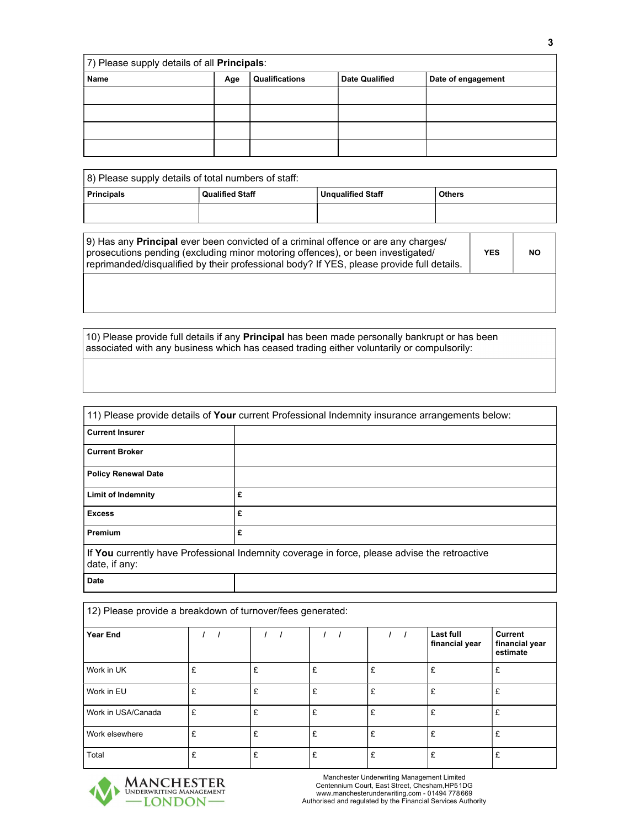| 7) Please supply details of all Principals: |     |                |                       |                    |  |  |
|---------------------------------------------|-----|----------------|-----------------------|--------------------|--|--|
| Name                                        | Age | Qualifications | <b>Date Qualified</b> | Date of engagement |  |  |
|                                             |     |                |                       |                    |  |  |
|                                             |     |                |                       |                    |  |  |
|                                             |     |                |                       |                    |  |  |
|                                             |     |                |                       |                    |  |  |

| 8) Please supply details of total numbers of staff:                               |  |  |  |  |  |
|-----------------------------------------------------------------------------------|--|--|--|--|--|
| <b>Principals</b><br>Qualified Staff<br><b>Others</b><br><b>Unqualified Staff</b> |  |  |  |  |  |
|                                                                                   |  |  |  |  |  |

| (9) Has any <b>Principal</b> ever been convicted of a criminal offence or are any charges/<br>prosecutions pending (excluding minor motoring offences), or been investigated/<br>reprimanded/disqualified by their professional body? If YES, please provide full details. | <b>YES</b> | <b>NO</b> |
|----------------------------------------------------------------------------------------------------------------------------------------------------------------------------------------------------------------------------------------------------------------------------|------------|-----------|
|                                                                                                                                                                                                                                                                            |            |           |

10) Please provide full details if any Principal has been made personally bankrupt or has been associated with any business which has ceased trading either voluntarily or compulsorily:

| 11) Please provide details of <b>Your</b> current Professional Indemnity insurance arrangements below:         |   |  |  |  |  |
|----------------------------------------------------------------------------------------------------------------|---|--|--|--|--|
| <b>Current Insurer</b>                                                                                         |   |  |  |  |  |
| <b>Current Broker</b>                                                                                          |   |  |  |  |  |
| <b>Policy Renewal Date</b>                                                                                     |   |  |  |  |  |
| <b>Limit of Indemnity</b>                                                                                      | £ |  |  |  |  |
| <b>Excess</b>                                                                                                  | £ |  |  |  |  |
| Premium                                                                                                        | £ |  |  |  |  |
| If You currently have Professional Indemnity coverage in force, please advise the retroactive<br>date, if any: |   |  |  |  |  |
| <b>Date</b>                                                                                                    |   |  |  |  |  |

| 12) Please provide a breakdown of turnover/fees generated: |   |   |   |   |                             |                                       |  |
|------------------------------------------------------------|---|---|---|---|-----------------------------|---------------------------------------|--|
| <b>Year End</b>                                            |   |   |   |   | Last full<br>financial year | Current<br>financial year<br>estimate |  |
| Work in UK                                                 | £ | £ | £ | £ | £                           | £                                     |  |
| Work in EU                                                 | £ | £ | £ | £ | £                           | £                                     |  |
| Work in USA/Canada                                         | £ | £ | £ | £ | £                           | £                                     |  |
| Work elsewhere                                             | £ | £ | £ | £ | £                           | £                                     |  |
| Total                                                      | £ | £ | £ | £ | £                           | £                                     |  |

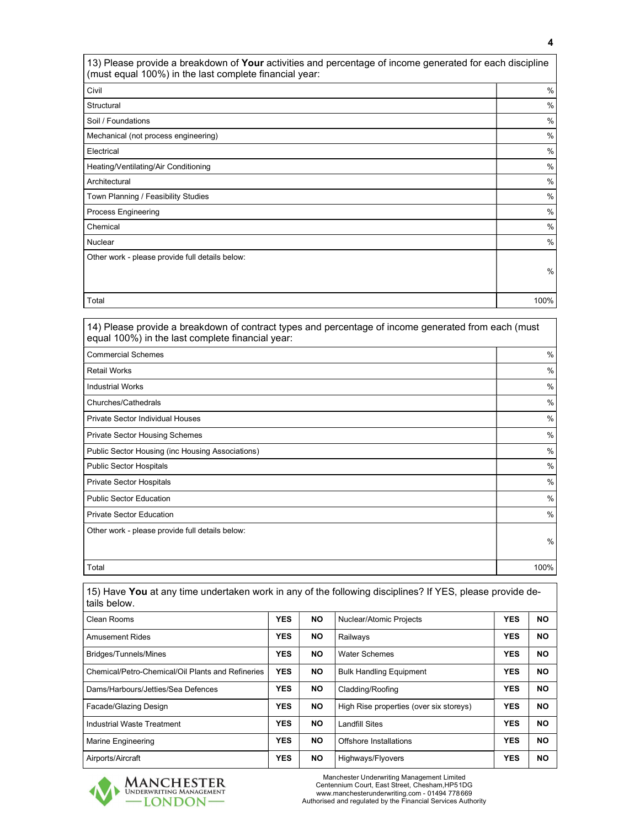13) Please provide a breakdown of Your activities and percentage of income generated for each discipline (must equal 100%) in the last complete financial year:

| Civil                                           | $\%$          |
|-------------------------------------------------|---------------|
| Structural                                      | $\%$          |
| Soil / Foundations                              | $\%$          |
| Mechanical (not process engineering)            | $\%$          |
| Electrical                                      | $\%$          |
| Heating/Ventilating/Air Conditioning            | $\%$          |
| Architectural                                   | $\%$          |
| Town Planning / Feasibility Studies             | $\%$          |
| Process Engineering                             | $\frac{0}{0}$ |
| Chemical                                        | $\%$          |
| Nuclear                                         | $\%$          |
| Other work - please provide full details below: |               |
|                                                 | $\%$          |
|                                                 |               |
| Total                                           | 100%          |

14) Please provide a breakdown of contract types and percentage of income generated from each (must equal 100%) in the last complete financial year: Commercial Schemes % Retail Works % Industrial Works % Churches/Cathedrals % Private Sector Individual Houses % Private Sector Housing Schemes **Manufather Sector Housing Schemes**  $\%$ Public Sector Housing (inc Housing Associations) **1999** We also a state of the state of the state of the state of the state of the state of the state of the state of the state of the state of the state of the state of the Public Sector Hospitals  $\%$ Private Sector Hospitals  $\%$ Public Sector Education  $\%$ Private Sector Education  $\%$ Other work - please provide full details below: % Total 100%

| 15) Have You at any time undertaken work in any of the following disciplines? If YES, please provide de-<br>tails below. |            |           |                                         |            |           |  |
|--------------------------------------------------------------------------------------------------------------------------|------------|-----------|-----------------------------------------|------------|-----------|--|
| Clean Rooms                                                                                                              | <b>YES</b> | NO.       | Nuclear/Atomic Projects                 | <b>YES</b> | <b>NO</b> |  |
| <b>Amusement Rides</b>                                                                                                   | <b>YES</b> | <b>NO</b> | Railways                                | <b>YES</b> | <b>NO</b> |  |
| Bridges/Tunnels/Mines                                                                                                    | <b>YES</b> | NO.       | <b>Water Schemes</b>                    | <b>YES</b> | <b>NO</b> |  |
| Chemical/Petro-Chemical/Oil Plants and Refineries                                                                        | <b>YES</b> | <b>NO</b> | <b>Bulk Handling Equipment</b>          | <b>YES</b> | <b>NO</b> |  |
| Dams/Harbours/Jetties/Sea Defences                                                                                       | <b>YES</b> | <b>NO</b> | Cladding/Roofing                        | <b>YES</b> | <b>NO</b> |  |
| Facade/Glazing Design                                                                                                    | <b>YES</b> | <b>NO</b> | High Rise properties (over six storeys) | <b>YES</b> | <b>NO</b> |  |
| Industrial Waste Treatment                                                                                               | <b>YES</b> | <b>NO</b> | Landfill Sites                          | <b>YES</b> | <b>NO</b> |  |
| <b>Marine Engineering</b>                                                                                                | <b>YES</b> | <b>NO</b> | Offshore Installations                  | <b>YES</b> | <b>NO</b> |  |
| Airports/Aircraft                                                                                                        | <b>YES</b> | <b>NO</b> | Highways/Flyovers                       | <b>YES</b> | <b>NO</b> |  |



Manchester Underwriting Management Limited Centennium Court, East Street, Chesham,HP5 1DG www.manchesterunderwriting.com - 01494 778 669 Authorised and regulated by the Financial Services Authority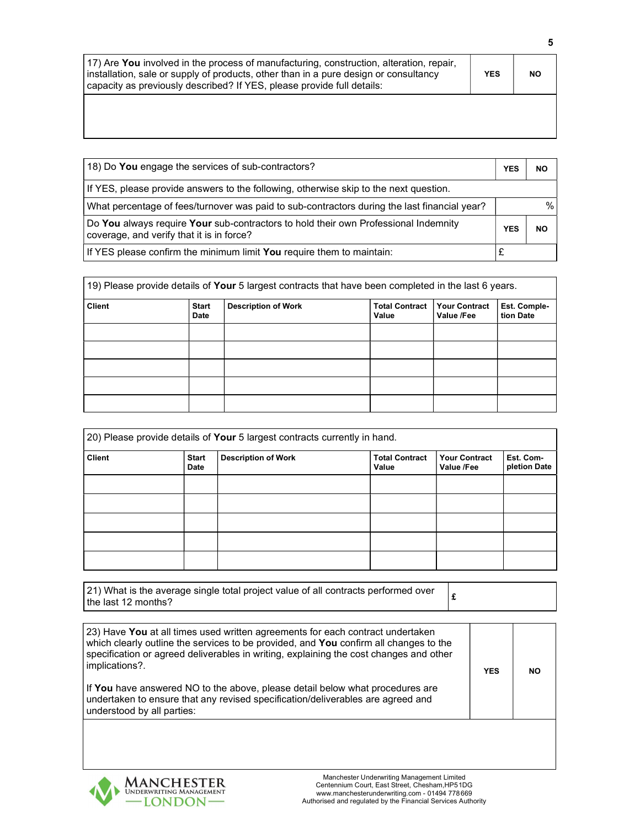| 17) Are You involved in the process of manufacturing, construction, alteration, repair,<br>installation, sale or supply of products, other than in a pure design or consultancy<br>capacity as previously described? If YES, please provide full details: | <b>YES</b> | <b>NO</b> |
|-----------------------------------------------------------------------------------------------------------------------------------------------------------------------------------------------------------------------------------------------------------|------------|-----------|
|                                                                                                                                                                                                                                                           |            |           |

| 18) Do You engage the services of sub-contractors?                                                                               | <b>YES</b> | <b>NO</b> |
|----------------------------------------------------------------------------------------------------------------------------------|------------|-----------|
| If YES, please provide answers to the following, otherwise skip to the next question.                                            |            |           |
| What percentage of fees/turnover was paid to sub-contractors during the last financial year?                                     |            |           |
| Do You always require Your sub-contractors to hold their own Professional Indemnity<br>coverage, and verify that it is in force? | <b>YES</b> | <b>NO</b> |
| If YES please confirm the minimum limit You require them to maintain:                                                            |            |           |

| 19) Please provide details of Your 5 largest contracts that have been completed in the last 6 years. |                             |                            |                                |                                    |                           |
|------------------------------------------------------------------------------------------------------|-----------------------------|----------------------------|--------------------------------|------------------------------------|---------------------------|
| <b>Client</b>                                                                                        | <b>Start</b><br><b>Date</b> | <b>Description of Work</b> | <b>Total Contract</b><br>Value | <b>Your Contract</b><br>Value /Fee | Est. Comple-<br>tion Date |
|                                                                                                      |                             |                            |                                |                                    |                           |
|                                                                                                      |                             |                            |                                |                                    |                           |
|                                                                                                      |                             |                            |                                |                                    |                           |
|                                                                                                      |                             |                            |                                |                                    |                           |
|                                                                                                      |                             |                            |                                |                                    |                           |

| 20) Please provide details of Your 5 largest contracts currently in hand. |                      |                            |                                |                                    |                           |
|---------------------------------------------------------------------------|----------------------|----------------------------|--------------------------------|------------------------------------|---------------------------|
| <b>Client</b>                                                             | <b>Start</b><br>Date | <b>Description of Work</b> | <b>Total Contract</b><br>Value | <b>Your Contract</b><br>Value /Fee | Est. Com-<br>pletion Date |
|                                                                           |                      |                            |                                |                                    |                           |
|                                                                           |                      |                            |                                |                                    |                           |
|                                                                           |                      |                            |                                |                                    |                           |
|                                                                           |                      |                            |                                |                                    |                           |
|                                                                           |                      |                            |                                |                                    |                           |

| [21) What is the average single total project value of all contracts performed over |  |
|-------------------------------------------------------------------------------------|--|
| the last 12 months?                                                                 |  |

| 23) Have You at all times used written agreements for each contract undertaken<br>which clearly outline the services to be provided, and You confirm all changes to the<br>specification or agreed deliverables in writing, explaining the cost changes and other<br>implications?. | <b>YES</b> | <b>NO</b> |
|-------------------------------------------------------------------------------------------------------------------------------------------------------------------------------------------------------------------------------------------------------------------------------------|------------|-----------|
| If You have answered NO to the above, please detail below what procedures are<br>undertaken to ensure that any revised specification/deliverables are agreed and<br>understood by all parties:                                                                                      |            |           |

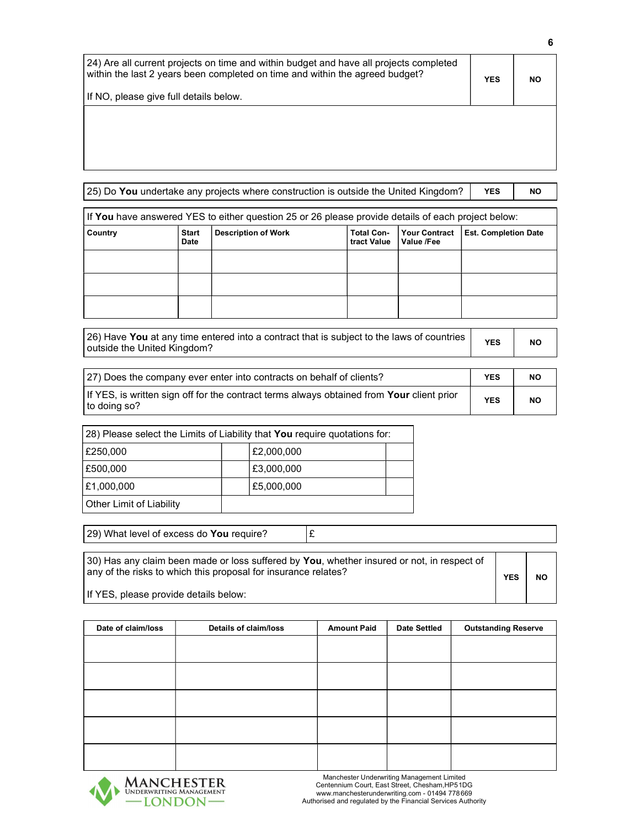| 24) Are all current projects on time and within budget and have all projects completed<br>within the last 2 years been completed on time and within the agreed budget?<br>If NO, please give full details below. | <b>YES</b> | <b>NO</b> |
|------------------------------------------------------------------------------------------------------------------------------------------------------------------------------------------------------------------|------------|-----------|
|                                                                                                                                                                                                                  |            |           |

| 25) Do You undertake any projects where construction is outside the United Kingdom? |                                                                                                    |                            |                                  |                                    | <b>YES</b>                  | NO. |
|-------------------------------------------------------------------------------------|----------------------------------------------------------------------------------------------------|----------------------------|----------------------------------|------------------------------------|-----------------------------|-----|
|                                                                                     | If You have answered YES to either question 25 or 26 please provide details of each project below: |                            |                                  |                                    |                             |     |
| Country                                                                             | <b>Start</b><br><b>Date</b>                                                                        | <b>Description of Work</b> | <b>Total Con-</b><br>tract Value | <b>Your Contract</b><br>Value /Fee | <b>Est. Completion Date</b> |     |
|                                                                                     |                                                                                                    |                            |                                  |                                    |                             |     |
|                                                                                     |                                                                                                    |                            |                                  |                                    |                             |     |
|                                                                                     |                                                                                                    |                            |                                  |                                    |                             |     |

| [26] Have You at any time entered into a contract that is subject to the laws of countries<br>outside the United Kingdom? | <b>YES</b> | NO |
|---------------------------------------------------------------------------------------------------------------------------|------------|----|
|---------------------------------------------------------------------------------------------------------------------------|------------|----|

| [27] Does the company ever enter into contracts on behalf of clients?                                            | <b>YES</b> | ΝO        |
|------------------------------------------------------------------------------------------------------------------|------------|-----------|
| If YES, is written sign off for the contract terms always obtained from <b>Your</b> client prior<br>to doing so? | <b>YES</b> | <b>NO</b> |

| 28) Please select the Limits of Liability that You require quotations for: |            |  |  |
|----------------------------------------------------------------------------|------------|--|--|
| £250,000                                                                   | £2,000,000 |  |  |
| £500,000                                                                   | £3,000,000 |  |  |
| E1.000.000                                                                 | £5,000,000 |  |  |
| Other Limit of Liability                                                   |            |  |  |

29) What level of excess do You require?  $\mathbf{f}$ 

30) Has any claim been made or loss suffered by You, whether insured or not, in respect of any of the risks to which this proposal for insurance relates? YES | NO

If YES, please provide details below:

| Date of claim/loss | <b>Details of claim/loss</b> | <b>Amount Paid</b> | <b>Date Settled</b> | <b>Outstanding Reserve</b> |
|--------------------|------------------------------|--------------------|---------------------|----------------------------|
|                    |                              |                    |                     |                            |
|                    |                              |                    |                     |                            |
|                    |                              |                    |                     |                            |
|                    |                              |                    |                     |                            |
|                    |                              |                    |                     |                            |
|                    |                              |                    |                     |                            |
|                    |                              |                    |                     |                            |
|                    |                              |                    |                     |                            |
|                    |                              |                    |                     |                            |
|                    |                              |                    |                     |                            |